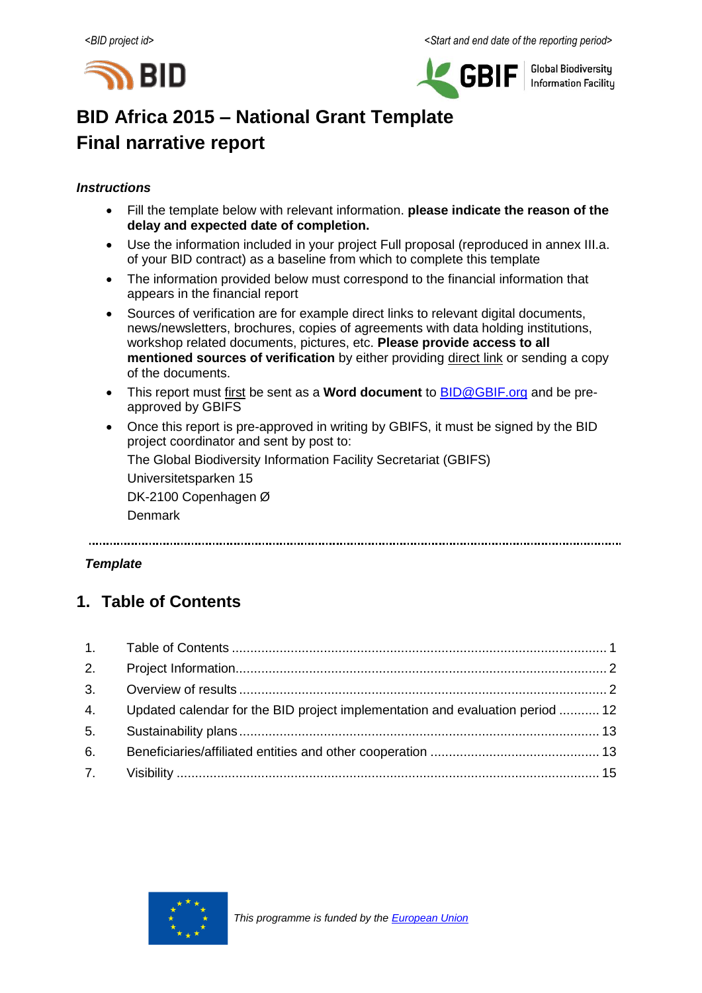



**Global Biodiversity Information Facilitu** 

# **BID Africa 2015 – National Grant Template Final narrative report**

## *Instructions*

- Fill the template below with relevant information. **please indicate the reason of the delay and expected date of completion.**
- Use the information included in your project Full proposal (reproduced in annex III.a. of your BID contract) as a baseline from which to complete this template
- The information provided below must correspond to the financial information that appears in the financial report
- Sources of verification are for example direct links to relevant digital documents, news/newsletters, brochures, copies of agreements with data holding institutions, workshop related documents, pictures, etc. **Please provide access to all mentioned sources of verification** by either providing direct link or sending a copy of the documents.
- This report must first be sent as a **Word document** to **BID@GBIF.org** and be preapproved by GBIFS
- Once this report is pre-approved in writing by GBIFS, it must be signed by the BID project coordinator and sent by post to:

The Global Biodiversity Information Facility Secretariat (GBIFS)

Universitetsparken 15 DK-2100 Copenhagen Ø

Denmark

## *Template*

## <span id="page-0-0"></span>**1. Table of Contents**

|    | 4. Updated calendar for the BID project implementation and evaluation period  12 |  |
|----|----------------------------------------------------------------------------------|--|
| 5. |                                                                                  |  |
| 6. |                                                                                  |  |
|    |                                                                                  |  |

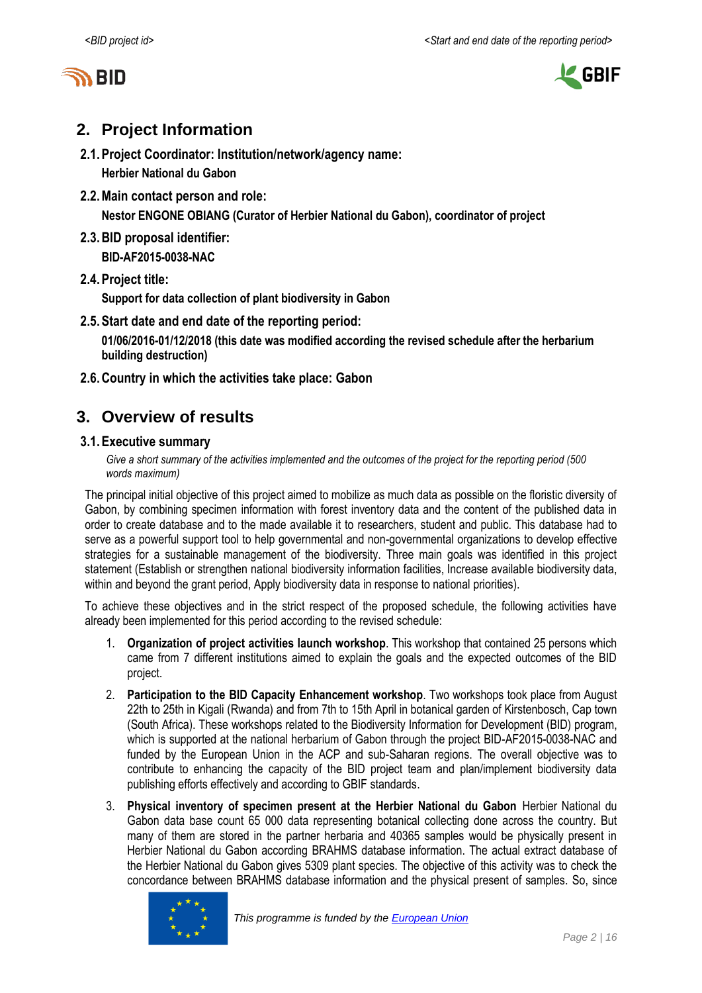



## <span id="page-1-0"></span>**2. Project Information**

- **2.1.Project Coordinator: Institution/network/agency name:**
	- **Herbier National du Gabon**
- **2.2.Main contact person and role:**

**Nestor ENGONE OBIANG (Curator of Herbier National du Gabon), coordinator of project**

- **2.3.BID proposal identifier: BID-AF2015-0038-NAC**
- **2.4.Project title:**

**Support for data collection of plant biodiversity in Gabon**

**2.5.Start date and end date of the reporting period:**

**01/06/2016-01/12/2018 (this date was modified according the revised schedule after the herbarium building destruction)**

**2.6.Country in which the activities take place: Gabon**

## **3. Overview of results**

## **3.1.Executive summary**

Give a short summary of the activities implemented and the outcomes of the project for the *reporting period* (500 *words maximum)*

The principal initial objective of this project aimed to mobilize as much data as possible on the floristic diversity of Gabon, by combining specimen information with forest inventory data and the content of the published data in order to create database and to the made available it to researchers, student and public. This database had to serve as a powerful support tool to help governmental and non-governmental organizations to develop effective strategies for a sustainable management of the biodiversity. Three main goals was identified in this project statement (Establish or strengthen national biodiversity information facilities, Increase available biodiversity data, within and beyond the grant period, Apply biodiversity data in response to national priorities).

To achieve these objectives and in the strict respect of the proposed schedule, the following activities have already been implemented for this period according to the revised schedule:

- 1. **Organization of project activities launch workshop**. This workshop that contained 25 persons which came from 7 different institutions aimed to explain the goals and the expected outcomes of the BID project.
- 2. **Participation to the BID Capacity Enhancement workshop**. Two workshops took place from August 22th to 25th in Kigali (Rwanda) and from 7th to 15th April in botanical garden of Kirstenbosch, Cap town (South Africa). These workshops related to the Biodiversity Information for Development (BID) program, which is supported at the national herbarium of Gabon through the project BID-AF2015-0038-NAC and funded by the European Union in the ACP and sub-Saharan regions. The overall objective was to contribute to enhancing the capacity of the BID project team and plan/implement biodiversity data publishing efforts effectively and according to GBIF standards.
- 3. **Physical inventory of specimen present at the Herbier National du Gabon** Herbier National du Gabon data base count 65 000 data representing botanical collecting done across the country. But many of them are stored in the partner herbaria and 40365 samples would be physically present in Herbier National du Gabon according BRAHMS database information. The actual extract database of the Herbier National du Gabon gives 5309 plant species. The objective of this activity was to check the concordance between BRAHMS database information and the physical present of samples. So, since

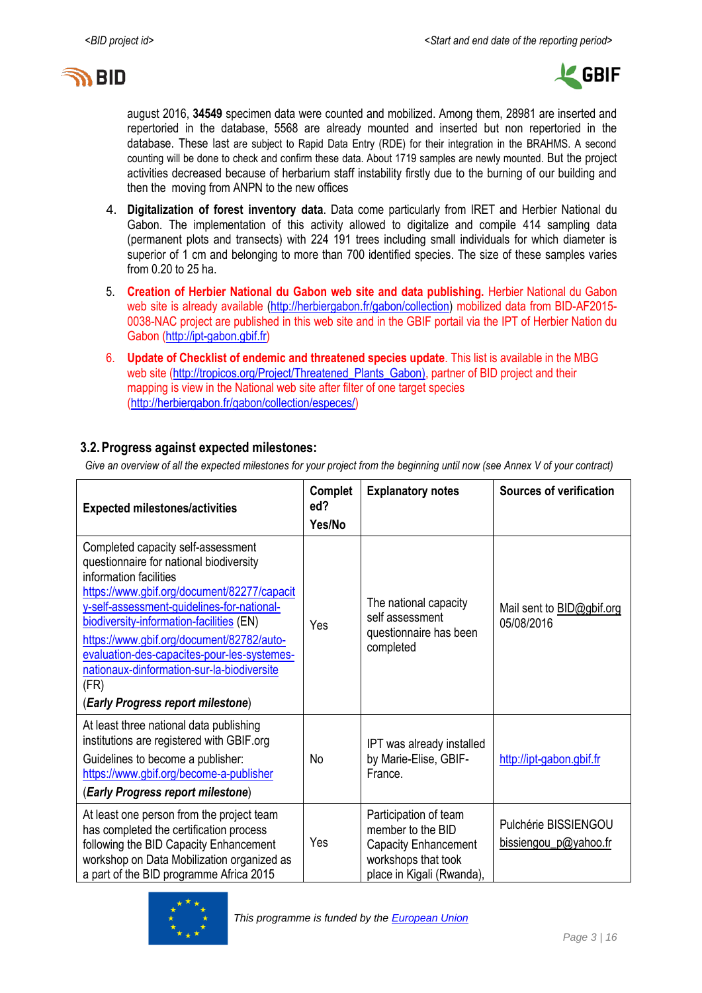



august 2016, **34549** specimen data were counted and mobilized. Among them, 28981 are inserted and repertoried in the database, 5568 are already mounted and inserted but non repertoried in the database. These last are subject to Rapid Data Entry (RDE) for their integration in the BRAHMS. A second counting will be done to check and confirm these data. About 1719 samples are newly mounted. But the project activities decreased because of herbarium staff instability firstly due to the burning of our building and then the moving from ANPN to the new offices

- 4. **Digitalization of forest inventory data**. Data come particularly from IRET and Herbier National du Gabon. The implementation of this activity allowed to digitalize and compile 414 sampling data (permanent plots and transects) with 224 191 trees including small individuals for which diameter is superior of 1 cm and belonging to more than 700 identified species. The size of these samples varies from 0.20 to 25 ha.
- 5. **Creation of Herbier National du Gabon web site and data publishing.** Herbier National du Gabon web site is already available [\(http://herbiergabon.fr/gabon/collection\)](http://vmtropicar-proto.ird.fr/gabon/collection) mobilized data from BID-AF2015-0038-NAC project are published in this web site and in the GBIF portail via the IPT of Herbier Nation du Gabon [\(http://ipt-gabon.gbif.fr\)](http://ipt-gabon.gbif.fr/)
- 6. **Update of Checklist of endemic and threatened species update**. This list is available in the MBG web site [\(http://tropicos.org/Project/Threatened\\_Plants\\_Gabon\)](http://tropicos.org/Project/Threatened_Plants_Gabon), partner of BID project and their mapping is view in the National web site after filter of one target species [\(http://herbiergabon.fr/gabon/collection/especes/\)](http://herbiergabon.fr/gabon/collection/especes/)

## **3.2.Progress against expected milestones:**

*Give an overview of all the expected milestones for your project from the beginning until now (see Annex V of your contract)*

| <b>Expected milestones/activities</b>                                                                                                                                                                                                                                                                                                                                                                                                   | Complet<br>ed?<br>Yes/No | <b>Explanatory notes</b>                                                                                               | <b>Sources of verification</b>                 |
|-----------------------------------------------------------------------------------------------------------------------------------------------------------------------------------------------------------------------------------------------------------------------------------------------------------------------------------------------------------------------------------------------------------------------------------------|--------------------------|------------------------------------------------------------------------------------------------------------------------|------------------------------------------------|
| Completed capacity self-assessment<br>questionnaire for national biodiversity<br>information facilities<br>https://www.gbif.org/document/82277/capacit<br>y-self-assessment-guidelines-for-national-<br>biodiversity-information-facilities (EN)<br>https://www.gbif.org/document/82782/auto-<br>evaluation-des-capacites-pour-les-systemes-<br>nationaux-dinformation-sur-la-biodiversite<br>(FR)<br>(Early Progress report milestone) | Yes                      | The national capacity<br>self assessment<br>questionnaire has been<br>completed                                        | Mail sent to <b>BID@gbif.org</b><br>05/08/2016 |
| At least three national data publishing<br>institutions are registered with GBIF.org<br>Guidelines to become a publisher:<br>https://www.gbif.org/become-a-publisher<br>(Early Progress report milestone)                                                                                                                                                                                                                               | No                       | IPT was already installed<br>by Marie-Elise, GBIF-<br>France.                                                          | http://ipt-gabon.gbif.fr                       |
| At least one person from the project team<br>has completed the certification process<br>following the BID Capacity Enhancement<br>workshop on Data Mobilization organized as<br>a part of the BID programme Africa 2015                                                                                                                                                                                                                 | Yes                      | Participation of team<br>member to the BID<br>Capacity Enhancement<br>workshops that took<br>place in Kigali (Rwanda), | Pulchérie BISSIENGOU<br>bissiengou p@yahoo.fr  |

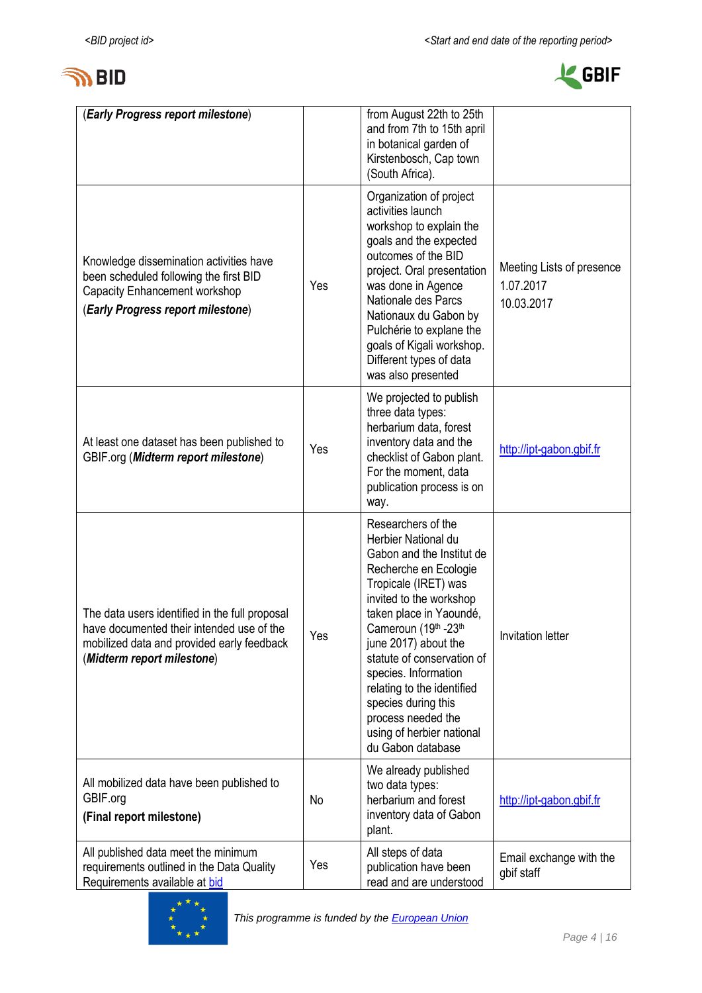



| (Early Progress report milestone)                                                                                                                                       |     | from August 22th to 25th<br>and from 7th to 15th april<br>in botanical garden of<br>Kirstenbosch, Cap town<br>(South Africa).                                                                                                                                                                                                                                                                                    |                                                      |
|-------------------------------------------------------------------------------------------------------------------------------------------------------------------------|-----|------------------------------------------------------------------------------------------------------------------------------------------------------------------------------------------------------------------------------------------------------------------------------------------------------------------------------------------------------------------------------------------------------------------|------------------------------------------------------|
| Knowledge dissemination activities have<br>been scheduled following the first BID<br>Capacity Enhancement workshop<br>(Early Progress report milestone)                 | Yes | Organization of project<br>activities launch<br>workshop to explain the<br>goals and the expected<br>outcomes of the BID<br>project. Oral presentation<br>was done in Agence<br>Nationale des Parcs<br>Nationaux du Gabon by<br>Pulchérie to explane the<br>goals of Kigali workshop.<br>Different types of data<br>was also presented                                                                           | Meeting Lists of presence<br>1.07.2017<br>10.03.2017 |
| At least one dataset has been published to<br>GBIF.org (Midterm report milestone)                                                                                       | Yes | We projected to publish<br>three data types:<br>herbarium data, forest<br>inventory data and the<br>checklist of Gabon plant.<br>For the moment, data<br>publication process is on<br>way.                                                                                                                                                                                                                       | http://ipt-gabon.gbif.fr                             |
| The data users identified in the full proposal<br>have documented their intended use of the<br>mobilized data and provided early feedback<br>(Midterm report milestone) | Yes | Researchers of the<br>Herbier National du<br>Gabon and the Institut de<br>Recherche en Ecologie<br>Tropicale (IRET) was<br>invited to the workshop<br>taken place in Yaoundé,<br>Cameroun (19th -23th<br>june 2017) about the<br>statute of conservation of<br>species. Information<br>relating to the identified<br>species during this<br>process needed the<br>using of herbier national<br>du Gabon database | Invitation letter                                    |
| All mobilized data have been published to<br>GBIF.org<br>(Final report milestone)                                                                                       | No  | We already published<br>two data types:<br>herbarium and forest<br>inventory data of Gabon<br>plant.                                                                                                                                                                                                                                                                                                             | http://ipt-gabon.gbif.fr                             |
| All published data meet the minimum<br>requirements outlined in the Data Quality<br>Requirements available at bid                                                       | Yes | All steps of data<br>publication have been<br>read and are understood                                                                                                                                                                                                                                                                                                                                            | Email exchange with the<br>gbif staff                |

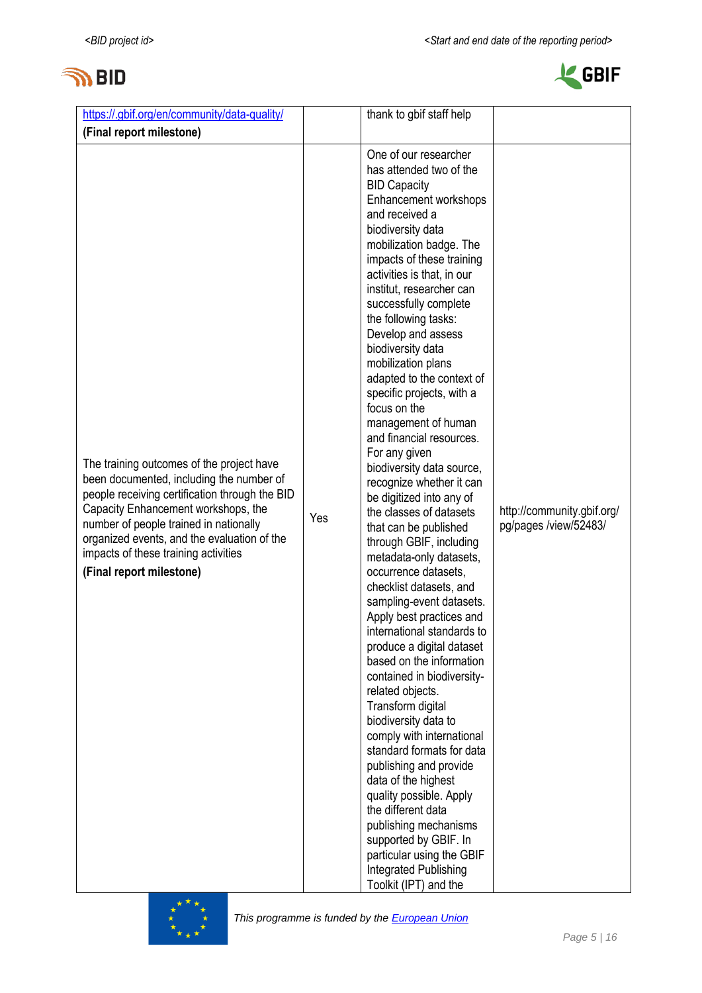



| https://.gbif.org/en/community/data-quality/                                                                                                                                                                                                                                                                                                |     | thank to gbif staff help                                                                                                                                                                                                                                                                                                                                                                                                                                                                                                                                                                                                                                                                                                                                                                                                                                                                                                                                                                                                                                                                                                                                                                                                                                                                                               |                                                     |
|---------------------------------------------------------------------------------------------------------------------------------------------------------------------------------------------------------------------------------------------------------------------------------------------------------------------------------------------|-----|------------------------------------------------------------------------------------------------------------------------------------------------------------------------------------------------------------------------------------------------------------------------------------------------------------------------------------------------------------------------------------------------------------------------------------------------------------------------------------------------------------------------------------------------------------------------------------------------------------------------------------------------------------------------------------------------------------------------------------------------------------------------------------------------------------------------------------------------------------------------------------------------------------------------------------------------------------------------------------------------------------------------------------------------------------------------------------------------------------------------------------------------------------------------------------------------------------------------------------------------------------------------------------------------------------------------|-----------------------------------------------------|
| (Final report milestone)                                                                                                                                                                                                                                                                                                                    |     |                                                                                                                                                                                                                                                                                                                                                                                                                                                                                                                                                                                                                                                                                                                                                                                                                                                                                                                                                                                                                                                                                                                                                                                                                                                                                                                        |                                                     |
| The training outcomes of the project have<br>been documented, including the number of<br>people receiving certification through the BID<br>Capacity Enhancement workshops, the<br>number of people trained in nationally<br>organized events, and the evaluation of the<br>impacts of these training activities<br>(Final report milestone) | Yes | One of our researcher<br>has attended two of the<br><b>BID Capacity</b><br>Enhancement workshops<br>and received a<br>biodiversity data<br>mobilization badge. The<br>impacts of these training<br>activities is that, in our<br>institut, researcher can<br>successfully complete<br>the following tasks:<br>Develop and assess<br>biodiversity data<br>mobilization plans<br>adapted to the context of<br>specific projects, with a<br>focus on the<br>management of human<br>and financial resources.<br>For any given<br>biodiversity data source,<br>recognize whether it can<br>be digitized into any of<br>the classes of datasets<br>that can be published<br>through GBIF, including<br>metadata-only datasets,<br>occurrence datasets,<br>checklist datasets, and<br>sampling-event datasets.<br>Apply best practices and<br>international standards to<br>produce a digital dataset<br>based on the information<br>contained in biodiversity-<br>related objects.<br>Transform digital<br>biodiversity data to<br>comply with international<br>standard formats for data<br>publishing and provide<br>data of the highest<br>quality possible. Apply<br>the different data<br>publishing mechanisms<br>supported by GBIF. In<br>particular using the GBIF<br>Integrated Publishing<br>Toolkit (IPT) and the | http://community.gbif.org/<br>pg/pages /view/52483/ |

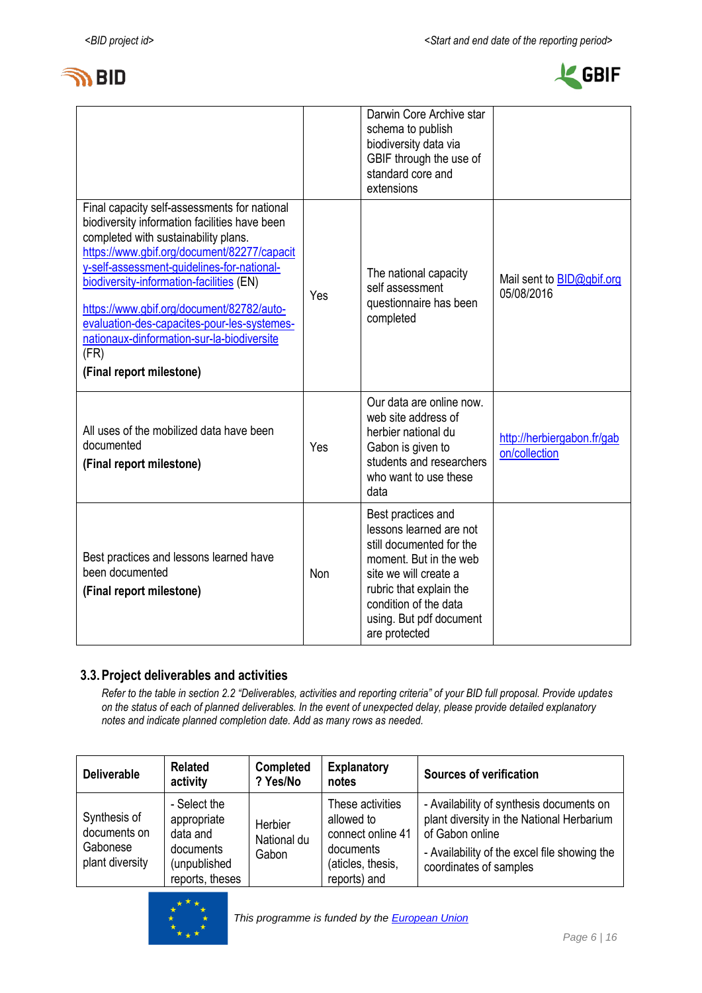



|                                                                                                                                                                                                                                                                                                                                                                                                                                                              |     | Darwin Core Archive star<br>schema to publish<br>biodiversity data via<br>GBIF through the use of<br>standard core and<br>extensions                                                                                         |                                                |
|--------------------------------------------------------------------------------------------------------------------------------------------------------------------------------------------------------------------------------------------------------------------------------------------------------------------------------------------------------------------------------------------------------------------------------------------------------------|-----|------------------------------------------------------------------------------------------------------------------------------------------------------------------------------------------------------------------------------|------------------------------------------------|
| Final capacity self-assessments for national<br>biodiversity information facilities have been<br>completed with sustainability plans.<br>https://www.gbif.org/document/82277/capacit<br>y-self-assessment-guidelines-for-national-<br>biodiversity-information-facilities (EN)<br>https://www.gbif.org/document/82782/auto-<br>evaluation-des-capacites-pour-les-systemes-<br>nationaux-dinformation-sur-la-biodiversite<br>(FR)<br>(Final report milestone) | Yes | The national capacity<br>self assessment<br>questionnaire has been<br>completed                                                                                                                                              | Mail sent to <b>BID@gbif.org</b><br>05/08/2016 |
| All uses of the mobilized data have been<br>documented<br>(Final report milestone)                                                                                                                                                                                                                                                                                                                                                                           | Yes | Our data are online now.<br>web site address of<br>herbier national du<br>Gabon is given to<br>students and researchers<br>who want to use these<br>data                                                                     | http://herbiergabon.fr/gab<br>on/collection    |
| Best practices and lessons learned have<br>been documented<br>(Final report milestone)                                                                                                                                                                                                                                                                                                                                                                       | Non | Best practices and<br>lessons learned are not<br>still documented for the<br>moment. But in the web<br>site we will create a<br>rubric that explain the<br>condition of the data<br>using. But pdf document<br>are protected |                                                |

## **3.3.Project deliverables and activities**

*Refer to the table in section 2.2 "Deliverables, activities and reporting criteria" of your BID full proposal. Provide updates on the status of each of planned deliverables. In the event of unexpected delay, please provide detailed explanatory notes and indicate planned completion date. Add as many rows as needed.*

| <b>Deliverable</b>                                          | <b>Related</b><br>activity                                                              | <b>Completed</b><br>? Yes/No    | <b>Explanatory</b><br>notes                                                                           | <b>Sources of verification</b>                                                                                                                                                     |
|-------------------------------------------------------------|-----------------------------------------------------------------------------------------|---------------------------------|-------------------------------------------------------------------------------------------------------|------------------------------------------------------------------------------------------------------------------------------------------------------------------------------------|
| Synthesis of<br>documents on<br>Gabonese<br>plant diversity | - Select the<br>appropriate<br>data and<br>documents<br>(unpublished<br>reports, theses | Herbier<br>National du<br>Gabon | These activities<br>allowed to<br>connect online 41<br>documents<br>(aticles, thesis,<br>reports) and | - Availability of synthesis documents on<br>plant diversity in the National Herbarium<br>of Gabon online<br>- Availability of the excel file showing the<br>coordinates of samples |

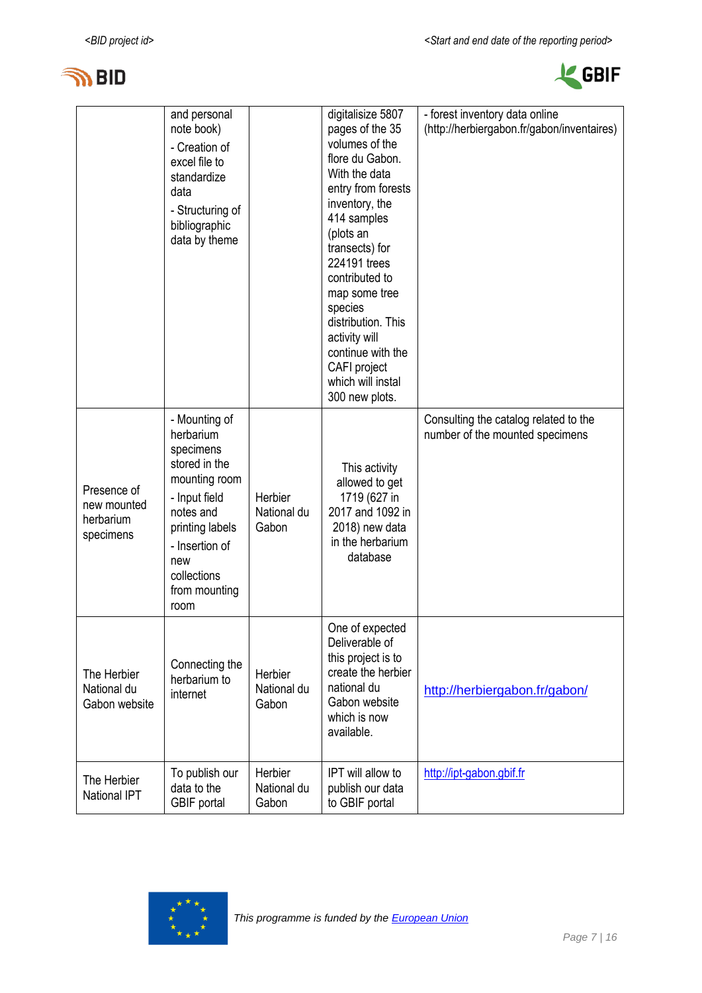



|                                                      | and personal<br>note book)<br>- Creation of<br>excel file to<br>standardize<br>data<br>- Structuring of<br>bibliographic<br>data by theme                                                   |                                 | digitalisize 5807<br>pages of the 35<br>volumes of the<br>flore du Gabon.<br>With the data<br>entry from forests<br>inventory, the<br>414 samples<br>(plots an<br>transects) for<br>224191 trees<br>contributed to<br>map some tree<br>species<br>distribution. This<br>activity will<br>continue with the<br>CAFI project<br>which will instal<br>300 new plots. | - forest inventory data online<br>(http://herbiergabon.fr/gabon/inventaires) |
|------------------------------------------------------|---------------------------------------------------------------------------------------------------------------------------------------------------------------------------------------------|---------------------------------|-------------------------------------------------------------------------------------------------------------------------------------------------------------------------------------------------------------------------------------------------------------------------------------------------------------------------------------------------------------------|------------------------------------------------------------------------------|
| Presence of<br>new mounted<br>herbarium<br>specimens | - Mounting of<br>herbarium<br>specimens<br>stored in the<br>mounting room<br>- Input field<br>notes and<br>printing labels<br>- Insertion of<br>new<br>collections<br>from mounting<br>room | Herbier<br>National du<br>Gabon | This activity<br>allowed to get<br>1719 (627 in<br>2017 and 1092 in<br>2018) new data<br>in the herbarium<br>database                                                                                                                                                                                                                                             | Consulting the catalog related to the<br>number of the mounted specimens     |
| The Herbier<br>National du<br>Gabon website          | Connecting the<br>herbarium to<br>internet                                                                                                                                                  | Herbier<br>National du<br>Gabon | One of expected<br>Deliverable of<br>this project is to<br>create the herbier<br>national du<br>Gabon website<br>which is now<br>available.                                                                                                                                                                                                                       | http://herbiergabon.fr/gabon/                                                |
| The Herbier<br><b>National IPT</b>                   | To publish our<br>data to the<br>GBIF portal                                                                                                                                                | Herbier<br>National du<br>Gabon | IPT will allow to<br>publish our data<br>to GBIF portal                                                                                                                                                                                                                                                                                                           | http://ipt-gabon.gbif.fr                                                     |

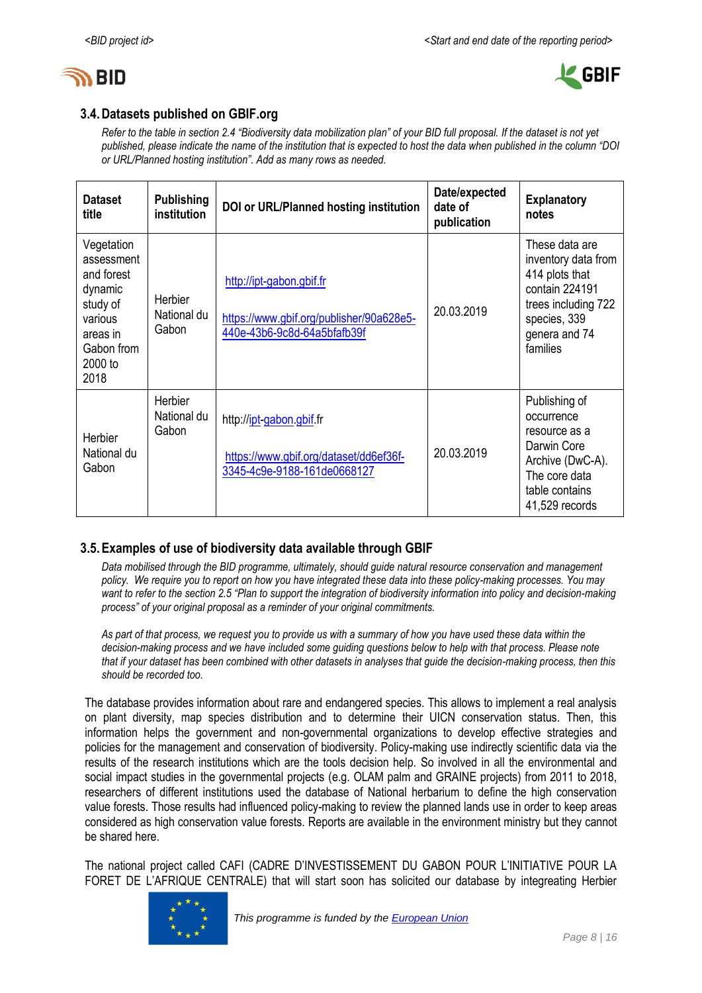



## **3.4.Datasets published on GBIF.org**

*Refer to the table in section 2.4 "Biodiversity data mobilization plan" of your BID full proposal. If the dataset is not yet published, please indicate the name of the institution that is expected to host the data when published in the column "DOI or URL/Planned hosting institution". Add as many rows as needed.*

| <b>Dataset</b><br>title                                                                                               | <b>Publishing</b><br>institution | DOI or URL/Planned hosting institution                                                              | Date/expected<br>date of<br>publication | <b>Explanatory</b><br>notes                                                                                                                   |
|-----------------------------------------------------------------------------------------------------------------------|----------------------------------|-----------------------------------------------------------------------------------------------------|-----------------------------------------|-----------------------------------------------------------------------------------------------------------------------------------------------|
| Vegetation<br>assessment<br>and forest<br>dynamic<br>study of<br>various<br>areas in<br>Gabon from<br>2000 to<br>2018 | Herbier<br>National du<br>Gabon  | http://ipt-gabon.gbif.fr<br>https://www.gbif.org/publisher/90a628e5-<br>440e-43b6-9c8d-64a5bfafb39f | 20.03.2019                              | These data are<br>inventory data from<br>414 plots that<br>contain 224191<br>trees including 722<br>species, 339<br>genera and 74<br>families |
| <b>Herbier</b><br>National du<br>Gabon                                                                                | Herbier<br>National du<br>Gabon  | http://ipt-gabon.gbif.fr<br>https://www.gbif.org/dataset/dd6ef36f-<br>3345-4c9e-9188-161de0668127   | 20.03.2019                              | Publishing of<br>occurrence<br>resource as a<br>Darwin Core<br>Archive (DwC-A).<br>The core data<br>table contains<br>41,529 records          |

## **3.5.Examples of use of biodiversity data available through GBIF**

*Data mobilised through the BID programme, ultimately, should guide natural resource conservation and management policy. We require you to report on how you have integrated these data into these policy-making processes. You may*  want to refer to the section 2.5 "Plan to support the integration of biodiversity information into policy and decision-making *process" of your original proposal as a reminder of your original commitments.* 

*As part of that process, we request you to provide us with a summary of how you have used these data within the decision-making process and we have included some guiding questions below to help with that process. Please note that if your dataset has been combined with other datasets in analyses that guide the decision-making process, then this should be recorded too.* 

The database provides information about rare and endangered species. This allows to implement a real analysis on plant diversity, map species distribution and to determine their UICN conservation status. Then, this information helps the government and non-governmental organizations to develop effective strategies and policies for the management and conservation of biodiversity. Policy-making use indirectly scientific data via the results of the research institutions which are the tools decision help. So involved in all the environmental and social impact studies in the governmental projects (e.g. OLAM palm and GRAINE projects) from 2011 to 2018, researchers of different institutions used the database of National herbarium to define the high conservation value forests. Those results had influenced policy-making to review the planned lands use in order to keep areas considered as high conservation value forests. Reports are available in the environment ministry but they cannot be shared here.

The national project called CAFI (CADRE D'INVESTISSEMENT DU GABON POUR L'INITIATIVE POUR LA FORET DE L'AFRIQUE CENTRALE) that will start soon has solicited our database by integreating Herbier

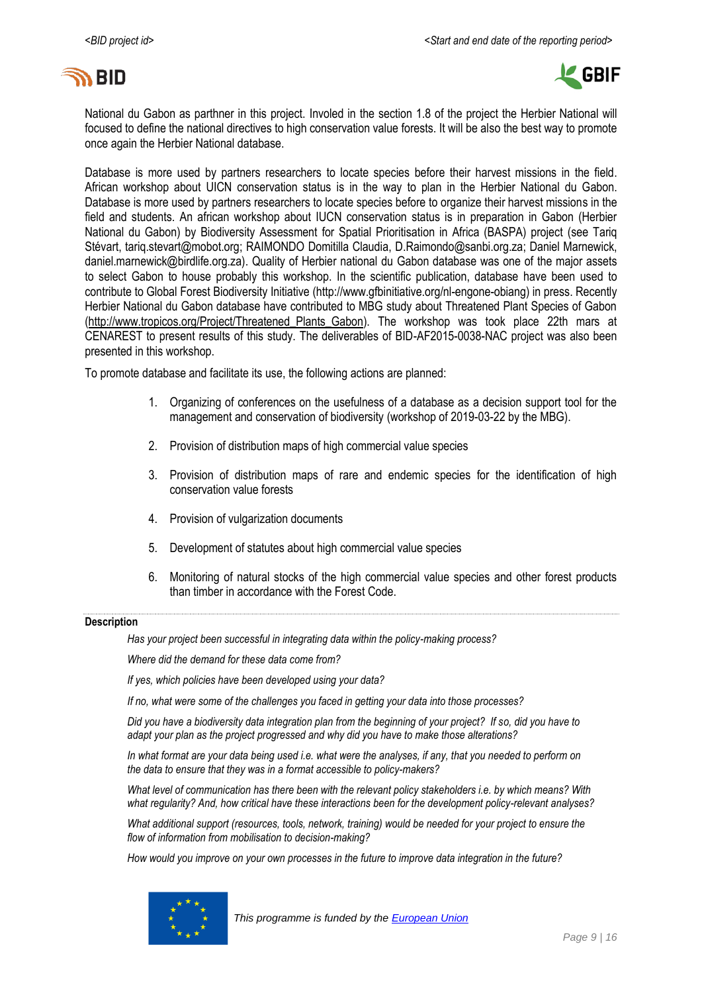



National du Gabon as parthner in this project. Involed in the section 1.8 of the project the Herbier National will focused to define the national directives to high conservation value forests. It will be also the best way to promote once again the Herbier National database.

Database is more used by partners researchers to locate species before their harvest missions in the field. African workshop about UICN conservation status is in the way to plan in the Herbier National du Gabon. Database is more used by partners researchers to locate species before to organize their harvest missions in the field and students. An african workshop about IUCN conservation status is in preparation in Gabon (Herbier National du Gabon) by Biodiversity Assessment for Spatial Prioritisation in Africa (BASPA) project (see Tariq Stévart, [tariq.stevart@mobot.org;](mailto:tariq.stevart@mobot.org) RAIMONDO Domitilla Claudia, [D.Raimondo@sanbi.org.za;](mailto:D.Raimondo@sanbi.org.za%3E) Daniel Marnewick, daniel.marnewick@birdlife.org.za). Quality of Herbier national du Gabon database was one of the major assets to select Gabon to house probably this workshop. In the scientific publication, database have been used to contribute to Global Forest Biodiversity Initiative [\(http://www.gfbinitiative.org/nl-engone-obiang\)](http://www.gfbinitiative.org/nl-engone-obiang) in press. Recently Herbier National du Gabon database have contributed to MBG study about Threatened Plant Species of Gabon [\(http://www.tropicos.org/Project/Threatened\\_Plants\\_Gabon\)](http://www.tropicos.org/Project/Threatened_Plants_Gabon). The workshop was took place 22th mars at CENAREST to present results of this study. The deliverables of BID-AF2015-0038-NAC project was also been presented in this workshop.

To promote database and facilitate its use, the following actions are planned:

- 1. Organizing of conferences on the usefulness of a database as a decision support tool for the management and conservation of biodiversity (workshop of 2019-03-22 by the MBG).
- 2. Provision of distribution maps of high commercial value species
- 3. Provision of distribution maps of rare and endemic species for the identification of high conservation value forests
- 4. Provision of vulgarization documents
- 5. Development of statutes about high commercial value species
- 6. Monitoring of natural stocks of the high commercial value species and other forest products than timber in accordance with the Forest Code.

#### **Description**

*Has your project been successful in integrating data within the policy-making process?* 

*Where did the demand for these data come from?* 

*If yes, which policies have been developed using your data?* 

*If no, what were some of the challenges you faced in getting your data into those processes?*

*Did you have a biodiversity data integration plan from the beginning of your project? If so, did you have to adapt your plan as the project progressed and why did you have to make those alterations?* 

*In what format are your data being used i.e. what were the analyses, if any, that you needed to perform on the data to ensure that they was in a format accessible to policy-makers?* 

*What level of communication has there been with the relevant policy stakeholders i.e. by which means? With what regularity? And, how critical have these interactions been for the development policy-relevant analyses?* 

*What additional support (resources, tools, network, training) would be needed for your project to ensure the flow of information from mobilisation to decision-making?* 

*How would you improve on your own processes in the future to improve data integration in the future?* 

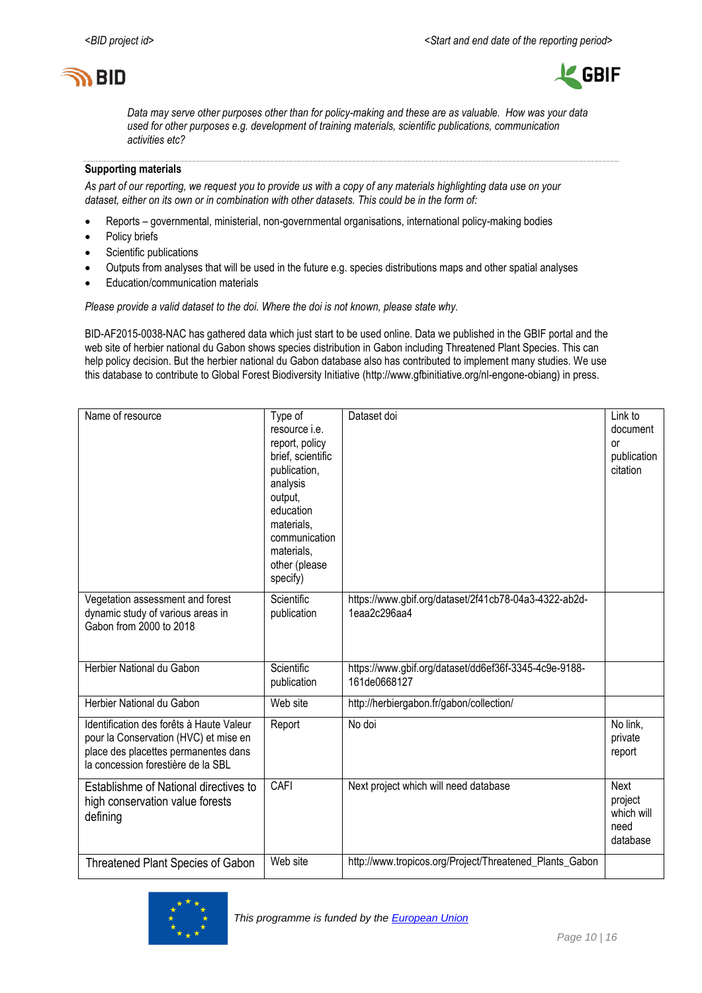



*Data may serve other purposes other than for policy-making and these are as valuable. How was your data used for other purposes e.g. development of training materials, scientific publications, communication activities etc?*

#### **Supporting materials**

*As part of our reporting, we request you to provide us with a copy of any materials highlighting data use on your dataset, either on its own or in combination with other datasets. This could be in the form of:*

- Reports governmental, ministerial, non-governmental organisations, international policy-making bodies
- Policy briefs
- Scientific publications
- Outputs from analyses that will be used in the future e.g. species distributions maps and other spatial analyses
- Education/communication materials

*Please provide a valid dataset to the doi. Where the doi is not known, please state why.*

BID-AF2015-0038-NAC has gathered data which just start to be used online. Data we published in the GBIF portal and the web site of herbier national du Gabon shows species distribution in Gabon including Threatened Plant Species. This can help policy decision. But the herbier national du Gabon database also has contributed to implement many studies. We use this database to contribute to Global Forest Biodiversity Initiative [\(http://www.gfbinitiative.org/nl-engone-obiang\)](http://www.gfbinitiative.org/nl-engone-obiang) in press.

| Name of resource                                                                                                                                                | Type of<br>resource <i>i.e.</i><br>report, policy<br>brief, scientific<br>publication,<br>analysis<br>output,<br>education<br>materials,<br>communication<br>materials.<br>other (please<br>specify) | Dataset doi                                                           | Link to<br>document<br><b>or</b><br>publication<br>citation |
|-----------------------------------------------------------------------------------------------------------------------------------------------------------------|------------------------------------------------------------------------------------------------------------------------------------------------------------------------------------------------------|-----------------------------------------------------------------------|-------------------------------------------------------------|
| Vegetation assessment and forest<br>dynamic study of various areas in<br>Gabon from 2000 to 2018                                                                | Scientific<br>publication                                                                                                                                                                            | https://www.gbif.org/dataset/2f41cb78-04a3-4322-ab2d-<br>1eaa2c296aa4 |                                                             |
| Herbier National du Gabon                                                                                                                                       | Scientific<br>publication                                                                                                                                                                            | https://www.gbif.org/dataset/dd6ef36f-3345-4c9e-9188-<br>161de0668127 |                                                             |
| Herbier National du Gabon                                                                                                                                       | Web site                                                                                                                                                                                             | http://herbiergabon.fr/gabon/collection/                              |                                                             |
| Identification des forêts à Haute Valeur<br>pour la Conservation (HVC) et mise en<br>place des placettes permanentes dans<br>la concession forestière de la SBL | Report                                                                                                                                                                                               | No doi                                                                | No link,<br>private<br>report                               |
| Establishme of National directives to<br>high conservation value forests<br>defining                                                                            | CAFI                                                                                                                                                                                                 | Next project which will need database                                 | Next<br>project<br>which will<br>need<br>database           |
| Threatened Plant Species of Gabon                                                                                                                               | Web site                                                                                                                                                                                             | http://www.tropicos.org/Project/Threatened_Plants_Gabon               |                                                             |

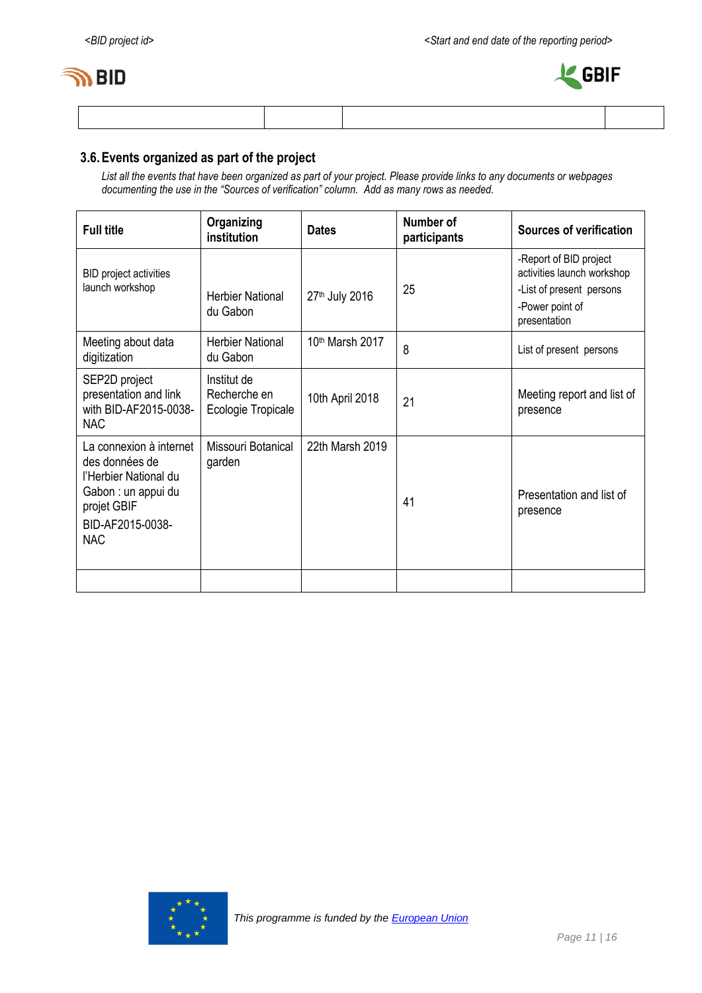



## **3.6.Events organized as part of the project**

*List all the events that have been organized as part of your project. Please provide links to any documents or webpages documenting the use in the "Sources of verification" column. Add as many rows as needed.*

| <b>Full title</b>                                                                                                                          | Organizing<br>institution                         | <b>Dates</b>                | Number of<br>participants | <b>Sources of verification</b>                                                                                      |
|--------------------------------------------------------------------------------------------------------------------------------------------|---------------------------------------------------|-----------------------------|---------------------------|---------------------------------------------------------------------------------------------------------------------|
| BID project activities<br>launch workshop                                                                                                  | <b>Herbier National</b><br>du Gabon               | 27th July 2016              | 25                        | -Report of BID project<br>activities launch workshop<br>-List of present persons<br>-Power point of<br>presentation |
| Meeting about data<br>digitization                                                                                                         | <b>Herbier National</b><br>du Gabon               | 10 <sup>th</sup> Marsh 2017 | 8                         | List of present persons                                                                                             |
| SEP2D project<br>presentation and link<br>with BID-AF2015-0038-<br><b>NAC</b>                                                              | Institut de<br>Recherche en<br>Ecologie Tropicale | 10th April 2018             | 21                        | Meeting report and list of<br>presence                                                                              |
| La connexion à internet<br>des données de<br>l'Herbier National du<br>Gabon : un appui du<br>projet GBIF<br>BID-AF2015-0038-<br><b>NAC</b> | Missouri Botanical<br>garden                      | 22th Marsh 2019             | 41                        | Presentation and list of<br>presence                                                                                |
|                                                                                                                                            |                                                   |                             |                           |                                                                                                                     |

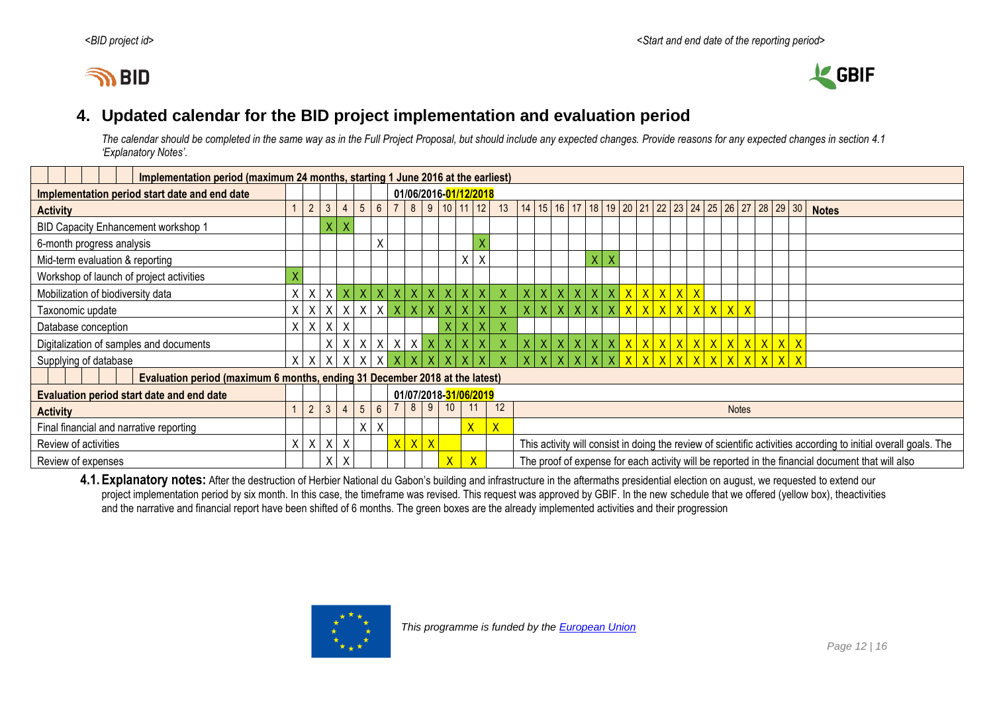



## **4. Updated calendar for the BID project implementation and evaluation period**

*The calendar should be completed in the same way as in the Full Project Proposal, but should include any expected changes. Provide reasons for any expected changes in section 4.1 'Explanatory Notes'.*

| Implementation period (maximum 24 months, starting 1 June 2016 at the earliest) |         |                |                |                 |                           |                 |                |                 |                         |              |                         |    |                                                                                         |                                                                                                                 |                |    |                 |   |         |                         |              |            |     |           |              |             |              |
|---------------------------------------------------------------------------------|---------|----------------|----------------|-----------------|---------------------------|-----------------|----------------|-----------------|-------------------------|--------------|-------------------------|----|-----------------------------------------------------------------------------------------|-----------------------------------------------------------------------------------------------------------------|----------------|----|-----------------|---|---------|-------------------------|--------------|------------|-----|-----------|--------------|-------------|--------------|
| Implementation period start date and end date                                   |         |                |                |                 |                           |                 |                |                 | 01/06/2016-01/12/2018   |              |                         |    |                                                                                         |                                                                                                                 |                |    |                 |   |         |                         |              |            |     |           |              |             |              |
| <b>Activity</b>                                                                 |         | $\overline{2}$ | 3 <sup>1</sup> | 4               | $\sqrt{5}$                | $6\overline{6}$ |                | 8 <sup>1</sup>  | 9 10 11 12              |              |                         |    | 13   14   15   16   17   18   19   20   21   22   23   24   25   26   27   28   29   30 |                                                                                                                 |                |    |                 |   |         |                         |              |            |     |           |              |             | <b>Notes</b> |
| BID Capacity Enhancement workshop 1                                             |         |                | $\mathsf{X}$   |                 |                           |                 |                |                 |                         |              |                         |    |                                                                                         |                                                                                                                 |                |    |                 |   |         |                         |              |            |     |           |              |             |              |
| 6-month progress analysis                                                       |         |                |                |                 |                           | X               |                |                 |                         |              |                         |    |                                                                                         |                                                                                                                 |                |    |                 |   |         |                         |              |            |     |           |              |             |              |
| Mid-term evaluation & reporting                                                 |         |                |                |                 |                           |                 |                |                 |                         |              | X                       | X  |                                                                                         |                                                                                                                 |                |    |                 | X |         |                         |              |            |     |           |              |             |              |
| Workshop of launch of project activities                                        |         |                |                |                 |                           |                 |                |                 |                         |              |                         |    |                                                                                         |                                                                                                                 |                |    |                 |   |         |                         |              |            |     |           |              |             |              |
| Mobilization of biodiversity data                                               | X       | $\mathsf{X}$   |                | $X$ $X$         | <b>UXL</b>                |                 | X X            | $\vert X \vert$ | X X                     |              |                         |    |                                                                                         |                                                                                                                 | x <sub>1</sub> |    | X X             |   | x   x   | $\overline{X}$          | $\mathsf{X}$ | $x \mid x$ |     |           |              |             |              |
| Taxonomic update                                                                | X       | X              | X              | $\mathsf{X}$    | $\boldsymbol{\mathsf{X}}$ |                 | $X$ $X$        |                 |                         |              |                         |    |                                                                                         |                                                                                                                 | X              | X  | $\vert$ X       |   | $\sf X$ | $\overline{\mathsf{X}}$ |              |            | x x | x x x     |              |             |              |
| Database conception                                                             |         | $X$ $X$        |                | $X$ $X$         |                           |                 |                |                 |                         | Χ.           |                         | X. |                                                                                         |                                                                                                                 |                |    |                 |   |         |                         |              |            |     |           |              |             |              |
| Digitalization of samples and documents                                         |         |                | $\mathsf{X}$   | $\times$        | $\mathsf{X}$              |                 |                | $X$ $X$ $X$     |                         | $X$ $X$ $X$  |                         | X  |                                                                                         |                                                                                                                 | X              |    | $x \mid x \mid$ |   | x   x   | $\mathsf{X}$            | x x          |            |     | x x x x x |              | x x x       |              |
| Supplying of database                                                           | $X$ $X$ |                | $\mathsf{X}$   |                 |                           |                 |                |                 |                         |              |                         |    |                                                                                         |                                                                                                                 |                | Y. |                 |   |         |                         |              |            |     |           | $\mathsf{X}$ | $X$ $X$ $X$ |              |
| Evaluation period (maximum 6 months, ending 31 December 2018 at the latest)     |         |                |                |                 |                           |                 |                |                 |                         |              |                         |    |                                                                                         |                                                                                                                 |                |    |                 |   |         |                         |              |            |     |           |              |             |              |
| Evaluation period start date and end date                                       |         |                |                |                 |                           |                 |                |                 | 01/07/2018-31/06/2019   |              |                         |    |                                                                                         |                                                                                                                 |                |    |                 |   |         |                         |              |            |     |           |              |             |              |
| <b>Activity</b>                                                                 |         | $\overline{2}$ |                | $3 \mid 4 \mid$ | $5\overline{)}$           | 6               |                | 8               | 9                       | 10           |                         |    | 12                                                                                      | <b>Notes</b>                                                                                                    |                |    |                 |   |         |                         |              |            |     |           |              |             |              |
| Final financial and narrative reporting                                         |         |                |                |                 | X                         | X               |                |                 |                         |              | X                       |    | $\overline{X}$                                                                          |                                                                                                                 |                |    |                 |   |         |                         |              |            |     |           |              |             |              |
| Review of activities                                                            | X       | $\sf X$        | X              | X               |                           |                 | $\overline{X}$ | $\mathsf{X}$    | $\overline{\mathsf{X}}$ |              |                         |    |                                                                                         | This activity will consist in doing the review of scientific activities according to initial overall goals. The |                |    |                 |   |         |                         |              |            |     |           |              |             |              |
| Review of expenses                                                              |         |                | X              | $\sf X$         |                           |                 |                |                 |                         | $\mathsf{X}$ | $\overline{\mathsf{X}}$ |    |                                                                                         | The proof of expense for each activity will be reported in the financial document that will also                |                |    |                 |   |         |                         |              |            |     |           |              |             |              |

<span id="page-11-0"></span>4.1. Explanatory notes: After the destruction of Herbier National du Gabon's building and infrastructure in the aftermaths presidential election on august, we requested to extend our project implementation period by six month. In this case, the timeframe was revised. This request was approved by GBIF. In the new schedule that we offered (yellow box), theactivities and the narrative and financial report have been shifted of 6 months. The green boxes are the already implemented activities and their progression

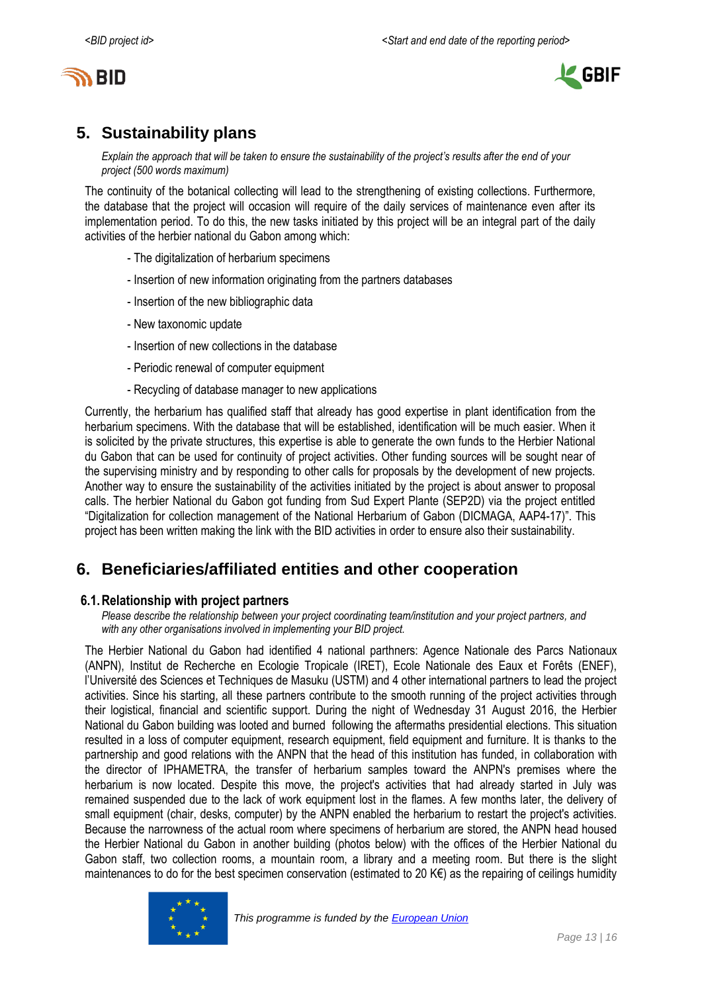



## <span id="page-12-0"></span>**5. Sustainability plans**

*Explain the approach that will be taken to ensure the sustainability of the project's results after the end of your project (500 words maximum)*

The continuity of the botanical collecting will lead to the strengthening of existing collections. Furthermore, the database that the project will occasion will require of the daily services of maintenance even after its implementation period. To do this, the new tasks initiated by this project will be an integral part of the daily activities of the herbier national du Gabon among which:

- The digitalization of herbarium specimens
- Insertion of new information originating from the partners databases
- Insertion of the new bibliographic data
- New taxonomic update
- Insertion of new collections in the database
- Periodic renewal of computer equipment
- Recycling of database manager to new applications

Currently, the herbarium has qualified staff that already has good expertise in plant identification from the herbarium specimens. With the database that will be established, identification will be much easier. When it is solicited by the private structures, this expertise is able to generate the own funds to the Herbier National du Gabon that can be used for continuity of project activities. Other funding sources will be sought near of the supervising ministry and by responding to other calls for proposals by the development of new projects. Another way to ensure the sustainability of the activities initiated by the project is about answer to proposal calls. The herbier National du Gabon got funding from Sud Expert Plante (SEP2D) via the project entitled "Digitalization for collection management of the National Herbarium of Gabon (DICMAGA, AAP4-17)". This project has been written making the link with the BID activities in order to ensure also their sustainability.

## <span id="page-12-1"></span>**6. Beneficiaries/affiliated entities and other cooperation**

#### **6.1.Relationship with project partners**

*Please describe the relationship between your project coordinating team/institution and your project partners, and with any other organisations involved in implementing your BID project.*

The Herbier National du Gabon had identified 4 national parthners: Agence Nationale des Parcs Nationaux (ANPN), Institut de Recherche en Ecologie Tropicale (IRET), Ecole Nationale des Eaux et Forêts (ENEF), l'Université des Sciences et Techniques de Masuku (USTM) and 4 other international partners to lead the project activities. Since his starting, all these partners contribute to the smooth running of the project activities through their logistical, financial and scientific support. During the night of Wednesday 31 August 2016, the Herbier National du Gabon building was looted and burned following the aftermaths presidential elections. This situation resulted in a loss of computer equipment, research equipment, field equipment and furniture. It is thanks to the partnership and good relations with the ANPN that the head of this institution has funded, in collaboration with the director of IPHAMETRA, the transfer of herbarium samples toward the ANPN's premises where the herbarium is now located. Despite this move, the project's activities that had already started in July was remained suspended due to the lack of work equipment lost in the flames. A few months later, the delivery of small equipment (chair, desks, computer) by the ANPN enabled the herbarium to restart the project's activities. Because the narrowness of the actual room where specimens of herbarium are stored, the ANPN head housed the Herbier National du Gabon in another building (photos below) with the offices of the Herbier National du Gabon staff, two collection rooms, a mountain room, a library and a meeting room. But there is the slight maintenances to do for the best specimen conservation (estimated to 20 K€) as the repairing of ceilings humidity

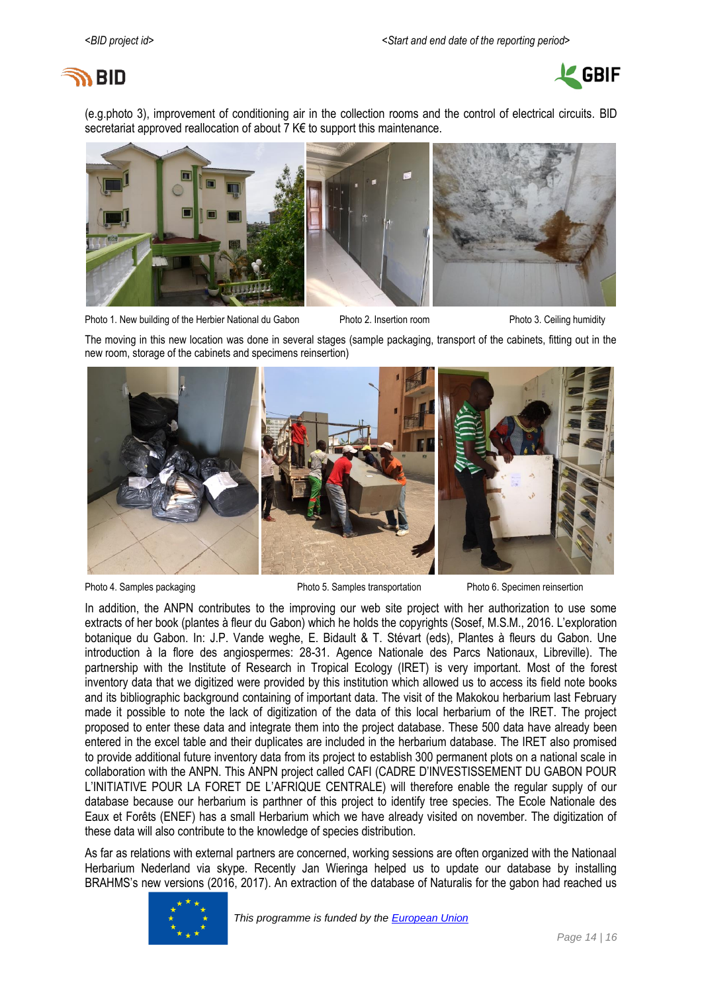# ם GID



(e.g.photo 3), improvement of conditioning air in the collection rooms and the control of electrical circuits. BID secretariat approved reallocation of about 7 K€ to support this maintenance.



Photo 1. New building of the Herbier National du Gabon Photo 2. Insertion room Photo 3. Ceiling humidity

The moving in this new location was done in several stages (sample packaging, transport of the cabinets, fitting out in the new room, storage of the cabinets and specimens reinsertion)



Photo 4. Samples packaging examples transportation Photo 5. Semples transportation Photo 6. Specimen reinsertion

In addition, the ANPN contributes to the improving our web site project with her authorization to use some extracts of her book (plantes à fleur du Gabon) which he holds the copyrights (Sosef, M.S.M., 2016. L'exploration botanique du Gabon. In: J.P. Vande weghe, E. Bidault & T. Stévart (eds), Plantes à fleurs du Gabon. Une introduction à la flore des angiospermes: 28-31. Agence Nationale des Parcs Nationaux, Libreville). The partnership with the Institute of Research in Tropical Ecology (IRET) is very important. Most of the forest inventory data that we digitized were provided by this institution which allowed us to access its field note books and its bibliographic background containing of important data. The visit of the Makokou herbarium last February made it possible to note the lack of digitization of the data of this local herbarium of the IRET. The project proposed to enter these data and integrate them into the project database. These 500 data have already been entered in the excel table and their duplicates are included in the herbarium database. The IRET also promised to provide additional future inventory data from its project to establish 300 permanent plots on a national scale in collaboration with the ANPN. This ANPN project called CAFI (CADRE D'INVESTISSEMENT DU GABON POUR L'INITIATIVE POUR LA FORET DE L'AFRIQUE CENTRALE) will therefore enable the regular supply of our database because our herbarium is parthner of this project to identify tree species. The Ecole Nationale des Eaux et Forêts (ENEF) has a small Herbarium which we have already visited on november. The digitization of these data will also contribute to the knowledge of species distribution.

As far as relations with external partners are concerned, working sessions are often organized with the Nationaal Herbarium Nederland via skype. Recently Jan Wieringa helped us to update our database by installing BRAHMS's new versions (2016, 2017). An extraction of the database of Naturalis for the gabon had reached us

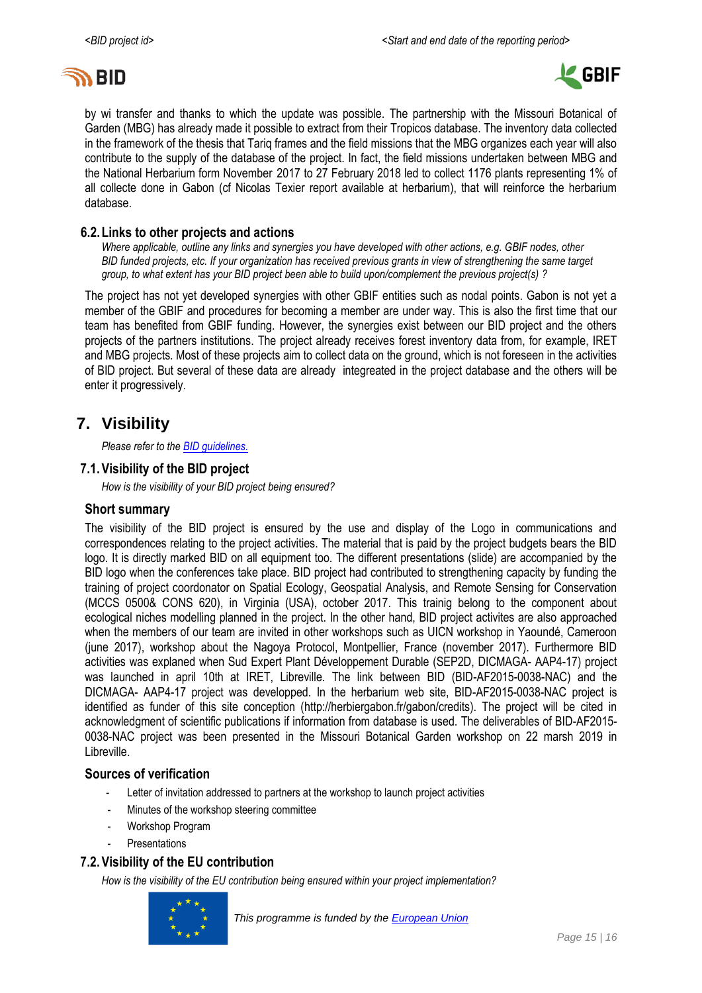



by wi transfer and thanks to which the update was possible. The partnership with the Missouri Botanical of Garden (MBG) has already made it possible to extract from their Tropicos database. The inventory data collected in the framework of the thesis that Tariq frames and the field missions that the MBG organizes each year will also contribute to the supply of the database of the project. In fact, the field missions undertaken between MBG and the National Herbarium form November 2017 to 27 February 2018 led to collect 1176 plants representing 1% of all collecte done in Gabon (cf Nicolas Texier report available at herbarium), that will reinforce the herbarium database.

#### **6.2.Links to other projects and actions**

*Where applicable, outline any links and synergies you have developed with other actions, e.g. GBIF nodes, other BID funded projects, etc. If your organization has received previous grants in view of strengthening the same target group, to what extent has your BID project been able to build upon/complement the previous project(s) ?*

The project has not yet developed synergies with other GBIF entities such as nodal points. Gabon is not yet a member of the GBIF and procedures for becoming a member are under way. This is also the first time that our team has benefited from GBIF funding. However, the synergies exist between our BID project and the others projects of the partners institutions. The project already receives forest inventory data from, for example, IRET and MBG projects. Most of these projects aim to collect data on the ground, which is not foreseen in the activities of BID project. But several of these data are already integreated in the project database and the others will be enter it progressively.

## <span id="page-14-0"></span>**7. Visibility**

*Please refer to th[e BID guidelines.](http://bid.gbif.org/en/community/communication-guidelines/)*

## **7.1.Visibility of the BID project**

*How is the visibility of your BID project being ensured?*

#### **Short summary**

The visibility of the BID project is ensured by the use and display of the Logo in communications and correspondences relating to the project activities. The material that is paid by the project budgets bears the BID logo. It is directly marked BID on all equipment too. The different presentations (slide) are accompanied by the BID logo when the conferences take place. BID project had contributed to strengthening capacity by funding the training of project coordonator on Spatial Ecology, Geospatial Analysis, and Remote Sensing for Conservation (MCCS 0500& CONS 620), in Virginia (USA), october 2017. This trainig belong to the component about ecological niches modelling planned in the project. In the other hand, BID project activites are also approached when the members of our team are invited in other workshops such as UICN workshop in Yaoundé, Cameroon (june 2017), workshop about the Nagoya Protocol, Montpellier, France (november 2017). Furthermore BID activities was explaned when Sud Expert Plant Développement Durable (SEP2D, DICMAGA- AAP4-17) project was launched in april 10th at IRET, Libreville. The link between BID (BID-AF2015-0038-NAC) and the DICMAGA- AAP4-17 project was developped. In the herbarium web site, BID-AF2015-0038-NAC project is identified as funder of this site conception [\(http://herbiergabon.fr/gabon/c](http://herbiergabon.fr/gabon/)redits). The project will be cited in acknowledgment of scientific publications if information from database is used. The deliverables of BID-AF2015- 0038-NAC project was been presented in the Missouri Botanical Garden workshop on 22 marsh 2019 in Libreville.

## **Sources of verification**

- Letter of invitation addressed to partners at the workshop to launch project activities
- Minutes of the workshop steering committee
- Workshop Program
- **Presentations**

## **7.2.Visibility of the EU contribution**

*How is the visibility of the EU contribution being ensured within your project implementation?*



*This programme is funded by the [European Union](http://europa.eu/)*